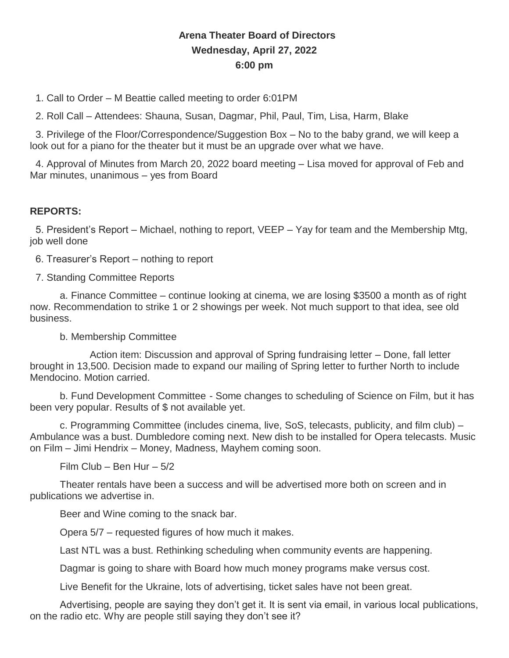## **Arena Theater Board of Directors Wednesday, April 27, 2022 6:00 pm**

1. Call to Order – M Beattie called meeting to order 6:01PM

2. Roll Call – Attendees: Shauna, Susan, Dagmar, Phil, Paul, Tim, Lisa, Harm, Blake

3. Privilege of the Floor/Correspondence/Suggestion Box – No to the baby grand, we will keep a look out for a piano for the theater but it must be an upgrade over what we have.

4. Approval of Minutes from March 20, 2022 board meeting – Lisa moved for approval of Feb and Mar minutes, unanimous – yes from Board

## **REPORTS:**

5. President's Report – Michael, nothing to report, VEEP – Yay for team and the Membership Mtg, job well done

6. Treasurer's Report – nothing to report

7. Standing Committee Reports

a. Finance Committee – continue looking at cinema, we are losing \$3500 a month as of right now. Recommendation to strike 1 or 2 showings per week. Not much support to that idea, see old business.

b. Membership Committee

Action item: Discussion and approval of Spring fundraising letter – Done, fall letter brought in 13,500. Decision made to expand our mailing of Spring letter to further North to include Mendocino. Motion carried.

b. Fund Development Committee - Some changes to scheduling of Science on Film, but it has been very popular. Results of \$ not available yet.

c. Programming Committee (includes cinema, live, SoS, telecasts, publicity, and film club) – Ambulance was a bust. Dumbledore coming next. New dish to be installed for Opera telecasts. Music on Film – Jimi Hendrix – Money, Madness, Mayhem coming soon.

Film Club – Ben Hur – 5/2

Theater rentals have been a success and will be advertised more both on screen and in publications we advertise in.

Beer and Wine coming to the snack bar.

Opera 5/7 – requested figures of how much it makes.

Last NTL was a bust. Rethinking scheduling when community events are happening.

Dagmar is going to share with Board how much money programs make versus cost.

Live Benefit for the Ukraine, lots of advertising, ticket sales have not been great.

Advertising, people are saying they don't get it. It is sent via email, in various local publications, on the radio etc. Why are people still saying they don't see it?